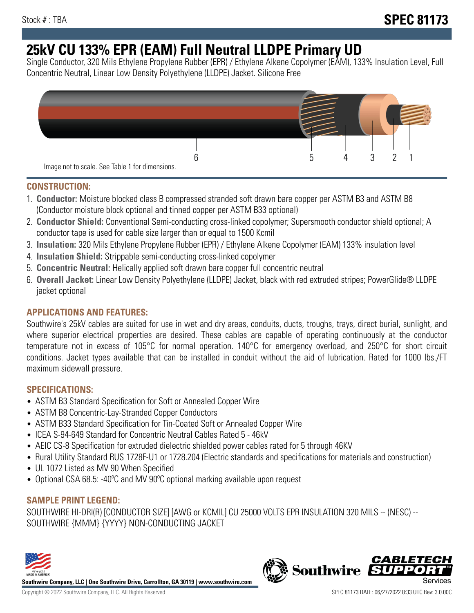# **25kV CU 133% EPR (EAM) Full Neutral LLDPE Primary UD**

Single Conductor, 320 Mils Ethylene Propylene Rubber (EPR) / Ethylene Alkene Copolymer (EAM), 133% Insulation Level, Full Concentric Neutral, Linear Low Density Polyethylene (LLDPE) Jacket. Silicone Free



# **CONSTRUCTION:**

- 1. **Conductor:** Moisture blocked class B compressed stranded soft drawn bare copper per ASTM B3 and ASTM B8 (Conductor moisture block optional and tinned copper per ASTM B33 optional)
- 2. **Conductor Shield:** Conventional Semi-conducting cross-linked copolymer; Supersmooth conductor shield optional; A conductor tape is used for cable size larger than or equal to 1500 Kcmil
- 3. **Insulation:** 320 Mils Ethylene Propylene Rubber (EPR) / Ethylene Alkene Copolymer (EAM) 133% insulation level
- 4. **Insulation Shield:** Strippable semi-conducting cross-linked copolymer
- 5. **Concentric Neutral:** Helically applied soft drawn bare copper full concentric neutral
- 6. **Overall Jacket:** Linear Low Density Polyethylene (LLDPE) Jacket, black with red extruded stripes; PowerGlide® LLDPE jacket optional

# **APPLICATIONS AND FEATURES:**

Southwire's 25kV cables are suited for use in wet and dry areas, conduits, ducts, troughs, trays, direct burial, sunlight, and where superior electrical properties are desired. These cables are capable of operating continuously at the conductor temperature not in excess of 105°C for normal operation. 140°C for emergency overload, and 250°C for short circuit conditions. Jacket types available that can be installed in conduit without the aid of lubrication. Rated for 1000 lbs./FT maximum sidewall pressure.

# **SPECIFICATIONS:**

- ASTM B3 Standard Specification for Soft or Annealed Copper Wire
- ASTM B8 Concentric-Lay-Stranded Copper Conductors
- ASTM B33 Standard Specification for Tin-Coated Soft or Annealed Copper Wire
- ICEA S-94-649 Standard for Concentric Neutral Cables Rated 5 46kV
- AEIC CS-8 Specification for extruded dielectric shielded power cables rated for 5 through 46KV
- Rural Utility Standard RUS 1728F-U1 or 1728.204 (Electric standards and specifications for materials and construction)
- UL 1072 Listed as MV 90 When Specified
- Optional CSA 68.5: -40°C and MV 90°C optional marking available upon request

# **SAMPLE PRINT LEGEND:**

SOUTHWIRE HI-DRI(R) [CONDUCTOR SIZE] [AWG or KCMIL] CU 25000 VOLTS EPR INSULATION 320 MILS -- (NESC) -- SOUTHWIRE {MMM} {YYYY} NON-CONDUCTING JACKET



**Southwire Company, LLC | One Southwire Drive, Carrollton, GA 30119 | www.southwire.com**